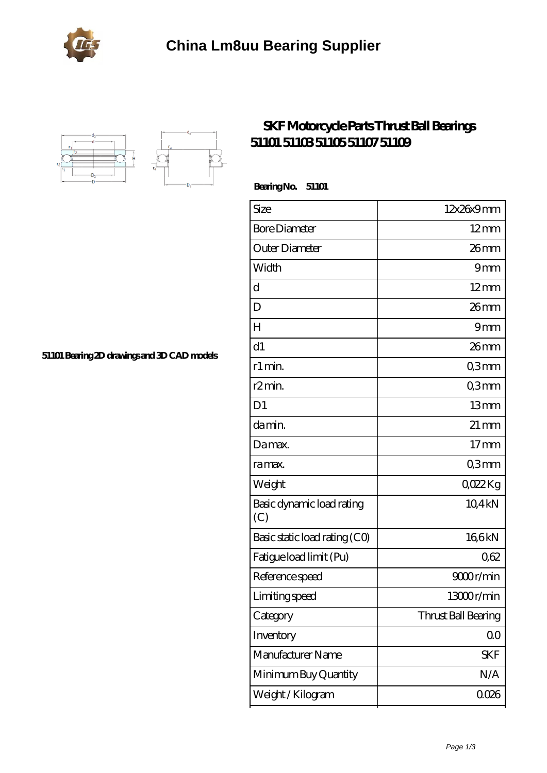



## **[SKF Motorcycle Parts Thrust Ball Bearings](https://portalesinmobiliariosinternacionales.com/skf-51101-bearing/) [51101 51103 51105 51107 51109](https://portalesinmobiliariosinternacionales.com/skf-51101-bearing/)**

 **Bearing No. 51101**

| Size                             | 12x26x9mm           |
|----------------------------------|---------------------|
| <b>Bore Diameter</b>             | $12 \text{mm}$      |
| Outer Diameter                   | 26 mm               |
| Width                            | 9mm                 |
| d                                | $12 \text{mm}$      |
| D                                | 26mm                |
| H                                | 9mm                 |
| d1                               | $26$ mm             |
| r1 min.                          | Q3mm                |
| r2min.                           | Q3mm                |
| D <sub>1</sub>                   | 13mm                |
| da min.                          | $21 \,\mathrm{mm}$  |
| Damax.                           | $17$ mm             |
| ra max.                          | Q3mm                |
| Weight                           | QO22Kg              |
| Basic dynamic load rating<br>(C) | 10,4kN              |
| Basic static load rating (CO)    | 166kN               |
| Fatigue load limit (Pu)          | 062                 |
| Reference speed                  | 9000r/min           |
| Limiting speed                   | 13000r/min          |
| Category                         | Thrust Ball Bearing |
| Inventory                        | 0 <sub>0</sub>      |
| Manufacturer Name                | <b>SKF</b>          |
| Minimum Buy Quantity             | N/A                 |
| Weight/Kilogram                  | 0026                |

**[51101 Bearing 2D drawings and 3D CAD models](https://portalesinmobiliariosinternacionales.com/pic-667256.html)**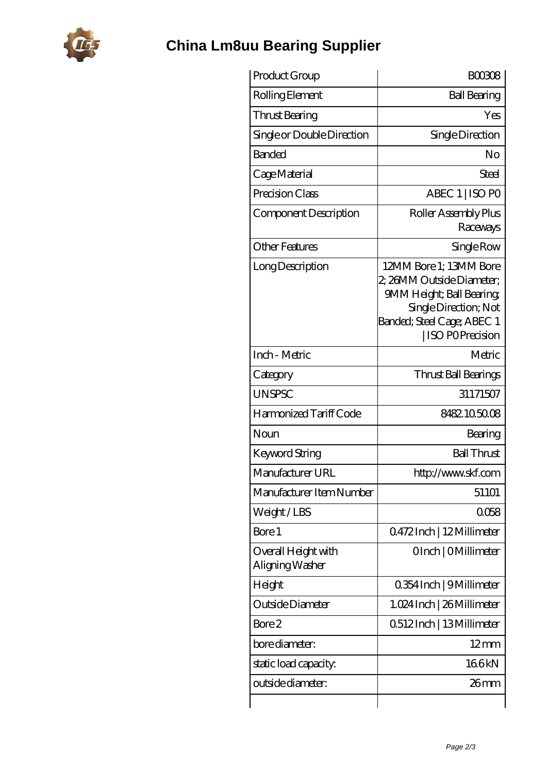

## **[China Lm8uu Bearing Supplier](https://portalesinmobiliariosinternacionales.com)**

| Product Group                          | <b>BOO308</b>                                                                                                                                                    |
|----------------------------------------|------------------------------------------------------------------------------------------------------------------------------------------------------------------|
| Rolling Element                        | <b>Ball Bearing</b>                                                                                                                                              |
| Thrust Bearing                         | Yes                                                                                                                                                              |
| Single or Double Direction             | Single Direction                                                                                                                                                 |
| <b>Banded</b>                          | No                                                                                                                                                               |
| Cage Material                          | Steel                                                                                                                                                            |
| Precision Class                        | ABEC 1   ISO PO                                                                                                                                                  |
| Component Description                  | Roller Assembly Plus<br>Raceways                                                                                                                                 |
| <b>Other Features</b>                  | Single Row                                                                                                                                                       |
| Long Description                       | 12MM Bore 1; 13MM Bore<br>2, 26MM Outside Diameter;<br>9MM Height; Ball Bearing<br>Single Direction; Not<br>Banded; Steel Cage; ABEC 1<br><b>ISO POPrecision</b> |
| Inch - Metric                          | Metric                                                                                                                                                           |
| Category                               | Thrust Ball Bearings                                                                                                                                             |
| <b>UNSPSC</b>                          | 31171507                                                                                                                                                         |
| Harmonized Tariff Code                 | 8482105008                                                                                                                                                       |
| Noun                                   | Bearing                                                                                                                                                          |
| <b>Keyword String</b>                  | <b>Ball Thrust</b>                                                                                                                                               |
| Manufacturer URL                       | http://www.skf.com                                                                                                                                               |
| Manufacturer Item Number               | 51101                                                                                                                                                            |
| Weight/LBS                             | 0058                                                                                                                                                             |
| Bore 1                                 | Q472Inch   12Millimeter                                                                                                                                          |
| Overall Height with<br>Aligning Washer | OInch   OMillimeter                                                                                                                                              |
| Height                                 | 0.354 Inch   9 Millimeter                                                                                                                                        |
| Outside Diameter                       | 1.024 Inch   26 Millimeter                                                                                                                                       |
| Bore 2                                 | 0512Inch   13Millimeter                                                                                                                                          |
| bore diameter:                         | $12 \text{mm}$                                                                                                                                                   |
| static load capacity.                  | 166kN                                                                                                                                                            |
| outside diameter:                      | 26mm                                                                                                                                                             |
|                                        |                                                                                                                                                                  |